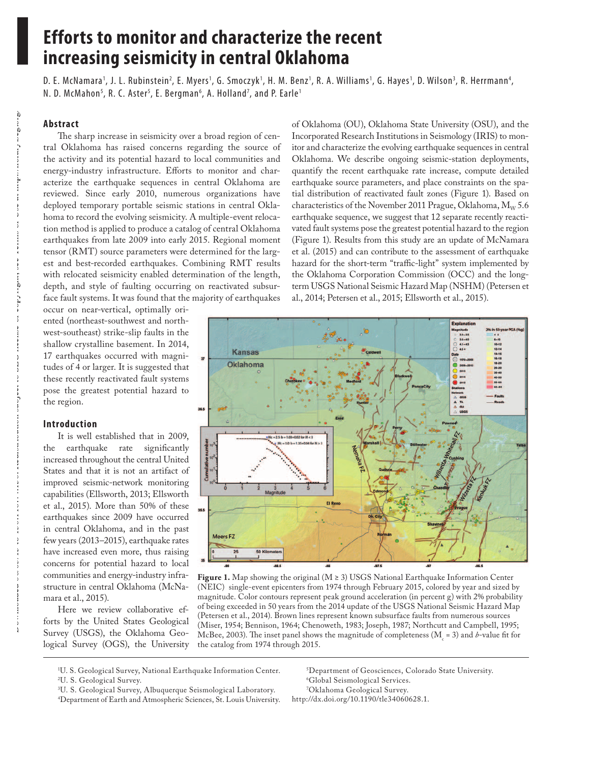# **Efforts to monitor and characterize the recent increasing seismicity in central Oklahoma**

D. E. McNamara<sup>1</sup>, J. L. Rubinstein<sup>2</sup>, E. Myers<sup>1</sup>, G. Smoczyk<sup>1</sup>, H. M. Benz<sup>1</sup>, R. A. Williams<sup>1</sup>, G. Hayes<sup>1</sup>, D. Wilson<sup>3</sup>, R. Herrmann<sup>4</sup>, N. D. McMahon<sup>s</sup>, R. C. Aster<sup>s</sup>, E. Bergman<sup>6</sup>, A. Holland<sup>7</sup>, and P. Earle<sup>1</sup>

# **Abstract**

The sharp increase in seismicity over a broad region of central Oklahoma has raised concerns regarding the source of the activity and its potential hazard to local communities and energy-industry infrastructure. Efforts to monitor and characterize the earthquake sequences in central Oklahoma are reviewed. Since early 2010, numerous organizations have deployed temporary portable seismic stations in central Oklahoma to record the evolving seismicity. A multiple-event relocation method is applied to produce a catalog of central Oklahoma earthquakes from late 2009 into early 2015. Regional moment tensor (RMT) source parameters were determined for the largest and best-recorded earthquakes. Combining RMT results with relocated seismicity enabled determination of the length, depth, and style of faulting occurring on reactivated subsurface fault systems. It was found that the majority of earthquakes

occur on near-vertical, optimally oriented (northeast-southwest and northwest-southeast) strike-slip faults in the shallow crystalline basement. In 2014, 17 earthquakes occurred with magnitudes of 4 or larger. It is suggested that these recently reactivated fault systems pose the greatest potential hazard to the region.

#### **Introduction**

It is well established that in 2009, the earthquake rate significantly increased throughout the central United States and that it is not an artifact of improved seismic-network monitoring capabilities (Ellsworth, 2013; Ellsworth et al., 2015). More than 50% of these earthquakes since 2009 have occurred in central Oklahoma, and in the past few years (2013–2015), earthquake rates have increased even more, thus raising concerns for potential hazard to local communities and energy-industry infrastructure in central Oklahoma (McNamara et al., 2015).

Here we review collaborative efforts by the United States Geological Survey (USGS), the Oklahoma Geological Survey (OGS), the University

of Oklahoma (OU), Oklahoma State University (OSU), and the Incorporated Research Institutions in Seismology (IRIS) to monitor and characterize the evolving earthquake sequences in central Oklahoma. We describe ongoing seismic-station deployments, quantify the recent earthquake rate increase, compute detailed earthquake source parameters, and place constraints on the spatial distribution of reactivated fault zones (Figure 1). Based on characteristics of the November 2011 Prague, Oklahoma,  $M_{\rm w}$  5.6 earthquake sequence, we suggest that 12 separate recently reactivated fault systems pose the greatest potential hazard to the region (Figure 1). Results from this study are an update of McNamara et al. (2015) and can contribute to the assessment of earthquake hazard for the short-term "traffic-light" system implemented by the Oklahoma Corporation Commission (OCC) and the longterm USGS National Seismic Hazard Map (NSHM) (Petersen et al., 2014; Petersen et al., 2015; Ellsworth et al., 2015).



**Figure 1.** Map showing the original (M ≥ 3) USGS National Earthquake Information Center (NEIC) single-event epicenters from 1974 through February 2015, colored by year and sized by magnitude. Color contours represent peak ground acceleration (in percent g) with 2% probability of being exceeded in 50 years from the 2014 update of the USGS National Seismic Hazard Map (Petersen et al., 2014). Brown lines represent known subsurface faults from numerous sources (Miser, 1954; Bennison, 1964; Chenoweth, 1983; Joseph, 1987; Northcutt and Campbell, 1995; McBee, 2003). The inset panel shows the magnitude of completeness ( $M_c = 3$ ) and *b*-value fit for the catalog from 1974 through 2015.

1 U. S. Geological Survey, National Earthquake Information Center.

3 U. S. Geological Survey, Albuquerque Seismological Laboratory.

5 Department of Geosciences, Colorado State University. 6 Global Seismological Services.

7 Oklahoma Geological Survey. http://dx.doi.org/10.1190/tle34060628.1.

<sup>2</sup> U. S. Geological Survey.

<sup>4</sup> Department of Earth and Atmospheric Sciences, St. Louis University.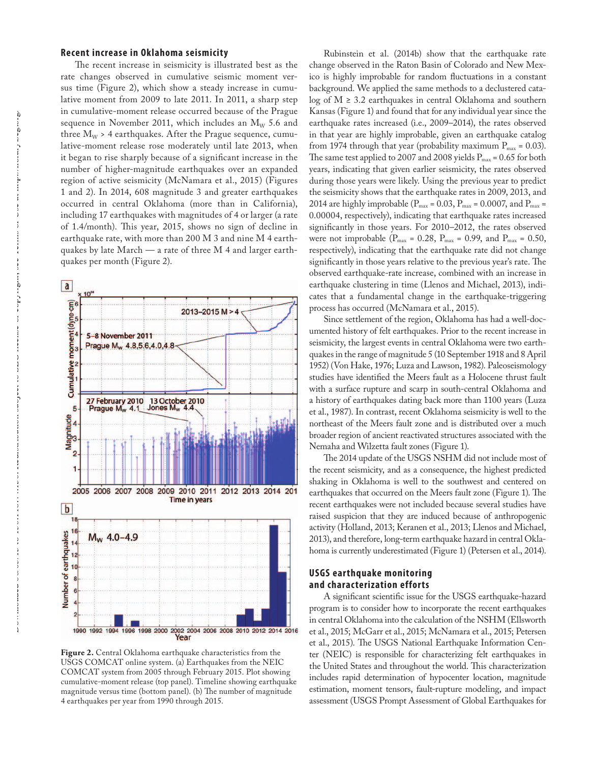### **Recent increase in Oklahoma seismicity**

The recent increase in seismicity is illustrated best as the rate changes observed in cumulative seismic moment versus time (Figure 2), which show a steady increase in cumulative moment from 2009 to late 2011. In 2011, a sharp step in cumulative-moment release occurred because of the Prague sequence in November 2011, which includes an  $M_{\text{w}}$  5.6 and three  $M_w$  > 4 earthquakes. After the Prague sequence, cumulative-moment release rose moderately until late 2013, when it began to rise sharply because of a significant increase in the number of higher-magnitude earthquakes over an expanded region of active seismicity (McNamara et al., 2015) (Figures 1 and 2). In 2014, 608 magnitude 3 and greater earthquakes occurred in central Oklahoma (more than in California), including 17 earthquakes with magnitudes of 4 or larger (a rate of 1.4/month). This year, 2015, shows no sign of decline in earthquake rate, with more than 200 M 3 and nine M 4 earthquakes by late March — a rate of three M 4 and larger earthquakes per month (Figure 2).



**Figure 2.** Central Oklahoma earthquake characteristics from the USGS COMCAT online system. (a) Earthquakes from the NEIC COMCAT system from 2005 through February 2015. Plot showing cumulative-moment release (top panel). Timeline showing earthquake magnitude versus time (bottom panel). (b) The number of magnitude 4 earthquakes per year from 1990 through 2015.

Rubinstein et al. (2014b) show that the earthquake rate change observed in the Raton Basin of Colorado and New Mexico is highly improbable for random fluctuations in a constant background. We applied the same methods to a declustered catalog of  $M \geq 3.2$  earthquakes in central Oklahoma and southern Kansas (Figure 1) and found that for any individual year since the earthquake rates increased (i.e., 2009–2014), the rates observed in that year are highly improbable, given an earthquake catalog from 1974 through that year (probability maximum  $P_{max} = 0.03$ ). The same test applied to 2007 and 2008 yields  $P_{max} = 0.65$  for both years, indicating that given earlier seismicity, the rates observed during those years were likely. Using the previous year to predict the seismicity shows that the earthquake rates in 2009, 2013, and 2014 are highly improbable ( $P_{max}$  = 0.03,  $P_{max}$  = 0.0007, and  $P_{max}$  = 0.00004, respectively), indicating that earthquake rates increased significantly in those years. For 2010–2012, the rates observed were not improbable ( $P_{max} = 0.28$ ,  $P_{max} = 0.99$ , and  $P_{max} = 0.50$ , respectively), indicating that the earthquake rate did not change significantly in those years relative to the previous year's rate. The observed earthquake-rate increase, combined with an increase in earthquake clustering in time (Llenos and Michael, 2013), indicates that a fundamental change in the earthquake-triggering process has occurred (McNamara et al., 2015).

Since settlement of the region, Oklahoma has had a well-documented history of felt earthquakes. Prior to the recent increase in seismicity, the largest events in central Oklahoma were two earthquakes in the range of magnitude 5 (10 September 1918 and 8 April 1952) (Von Hake, 1976; Luza and Lawson, 1982). Paleoseismology studies have identified the Meers fault as a Holocene thrust fault with a surface rupture and scarp in south-central Oklahoma and a history of earthquakes dating back more than 1100 years (Luza et al., 1987). In contrast, recent Oklahoma seismicity is well to the northeast of the Meers fault zone and is distributed over a much broader region of ancient reactivated structures associated with the Nemaha and Wilzetta fault zones (Figure 1).

The 2014 update of the USGS NSHM did not include most of the recent seismicity, and as a consequence, the highest predicted shaking in Oklahoma is well to the southwest and centered on earthquakes that occurred on the Meers fault zone (Figure 1). The recent earthquakes were not included because several studies have raised suspicion that they are induced because of anthropogenic activity (Holland, 2013; Keranen et al., 2013; Llenos and Michael, 2013), and therefore, long-term earthquake hazard in central Oklahoma is currently underestimated (Figure 1) (Petersen et al., 2014).

## **USGS earthquake monitoring and characterization efforts**

A significant scientific issue for the USGS earthquake-hazard program is to consider how to incorporate the recent earthquakes in central Oklahoma into the calculation of the NSHM (Ellsworth et al., 2015; McGarr et al., 2015; McNamara et al., 2015; Petersen et al., 2015). The USGS National Earthquake Information Center (NEIC) is responsible for characterizing felt earthquakes in the United States and throughout the world. This characterization includes rapid determination of hypocenter location, magnitude estimation, moment tensors, fault-rupture modeling, and impact assessment (USGS Prompt Assessment of Global Earthquakes for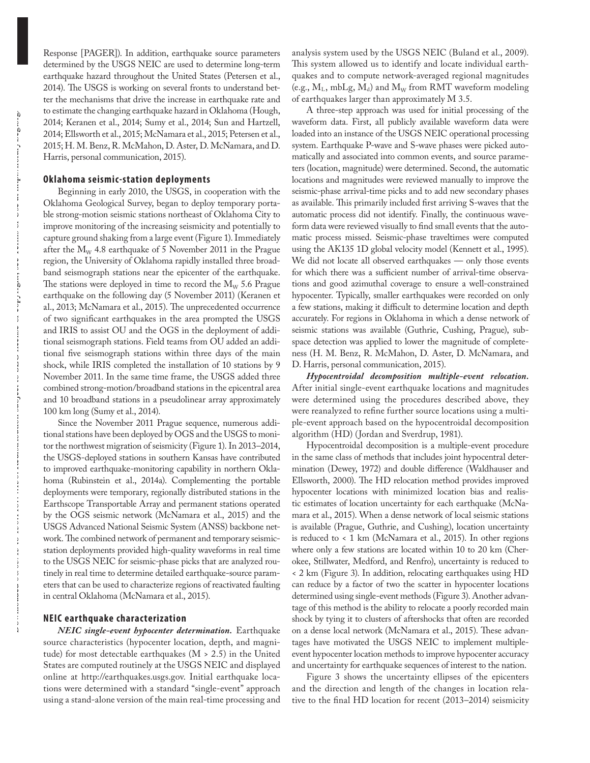Response [PAGER]). In addition, earthquake source parameters determined by the USGS NEIC are used to determine long-term earthquake hazard throughout the United States (Petersen et al., 2014). The USGS is working on several fronts to understand better the mechanisms that drive the increase in earthquake rate and to estimate the changing earthquake hazard in Oklahoma (Hough, 2014; Keranen et al., 2014; Sumy et al., 2014; Sun and Hartzell, 2014; Ellsworth et al., 2015; McNamara et al., 2015; Petersen et al., 2015; H. M. Benz, R. McMahon, D. Aster, D. McNamara, and D. Harris, personal communication, 2015).

# **Oklahoma seismic-station deployments**

Beginning in early 2010, the USGS, in cooperation with the Oklahoma Geological Survey, began to deploy temporary portable strong-motion seismic stations northeast of Oklahoma City to improve monitoring of the increasing seismicity and potentially to capture ground shaking from a large event (Figure 1). Immediately after the  $M_W$  4.8 earthquake of 5 November 2011 in the Prague region, the University of Oklahoma rapidly installed three broadband seismograph stations near the epicenter of the earthquake. The stations were deployed in time to record the  $M_{\rm w}$  5.6 Prague earthquake on the following day (5 November 2011) (Keranen et al., 2013; McNamara et al., 2015). The unprecedented occurrence of two significant earthquakes in the area prompted the USGS and IRIS to assist OU and the OGS in the deployment of additional seismograph stations. Field teams from OU added an additional five seismograph stations within three days of the main shock, while IRIS completed the installation of 10 stations by 9 November 2011. In the same time frame, the USGS added three combined strong-motion/broadband stations in the epicentral area and 10 broadband stations in a pseudolinear array approximately 100 km long (Sumy et al., 2014).

Since the November 2011 Prague sequence, numerous additional stations have been deployed by OGS and the USGS to monitor the northwest migration of seismicity (Figure 1). In 2013–2014, the USGS-deployed stations in southern Kansas have contributed to improved earthquake-monitoring capability in northern Oklahoma (Rubinstein et al., 2014a). Complementing the portable deployments were temporary, regionally distributed stations in the Earthscope Transportable Array and permanent stations operated by the OGS seismic network (McNamara et al., 2015) and the USGS Advanced National Seismic System (ANSS) backbone network. The combined network of permanent and temporary seismicstation deployments provided high-quality waveforms in real time to the USGS NEIC for seismic-phase picks that are analyzed routinely in real time to determine detailed earthquake-source parameters that can be used to characterize regions of reactivated faulting in central Oklahoma (McNamara et al., 2015).

## **NEIC earthquake characterization**

*NEIC single-event hypocenter determination.* Earthquake source characteristics (hypocenter location, depth, and magnitude) for most detectable earthquakes  $(M > 2.5)$  in the United States are computed routinely at the USGS NEIC and displayed online at http://earthquakes.usgs.gov. Initial earthquake locations were determined with a standard "single-event" approach using a stand-alone version of the main real-time processing and

analysis system used by the USGS NEIC (Buland et al., 2009). This system allowed us to identify and locate individual earthquakes and to compute network-averaged regional magnitudes (e.g.,  $M_L$ , mbLg,  $M_d$ ) and  $M_W$  from RMT waveform modeling of earthquakes larger than approximately M 3.5.

A three-step approach was used for initial processing of the waveform data. First, all publicly available waveform data were loaded into an instance of the USGS NEIC operational processing system. Earthquake P-wave and S-wave phases were picked automatically and associated into common events, and source parameters (location, magnitude) were determined. Second, the automatic locations and magnitudes were reviewed manually to improve the seismic-phase arrival-time picks and to add new secondary phases as available. This primarily included first arriving S-waves that the automatic process did not identify. Finally, the continuous waveform data were reviewed visually to find small events that the automatic process missed. Seismic-phase traveltimes were computed using the AK135 1D global velocity model (Kennett et al., 1995). We did not locate all observed earthquakes — only those events for which there was a sufficient number of arrival-time observations and good azimuthal coverage to ensure a well-constrained hypocenter. Typically, smaller earthquakes were recorded on only a few stations, making it difficult to determine location and depth accurately. For regions in Oklahoma in which a dense network of seismic stations was available (Guthrie, Cushing, Prague), subspace detection was applied to lower the magnitude of completeness (H. M. Benz, R. McMahon, D. Aster, D. McNamara, and D. Harris, personal communication, 2015).

*Hypocentroidal decomposition multiple-event relocation.* After initial single-event earthquake locations and magnitudes were determined using the procedures described above, they were reanalyzed to refine further source locations using a multiple-event approach based on the hypocentroidal decomposition algorithm (HD) (Jordan and Sverdrup, 1981).

Hypocentroidal decomposition is a multiple-event procedure in the same class of methods that includes joint hypocentral determination (Dewey, 1972) and double difference (Waldhauser and Ellsworth, 2000). The HD relocation method provides improved hypocenter locations with minimized location bias and realistic estimates of location uncertainty for each earthquake (McNamara et al., 2015). When a dense network of local seismic stations is available (Prague, Guthrie, and Cushing), location uncertainty is reduced to < 1 km (McNamara et al., 2015). In other regions where only a few stations are located within 10 to 20 km (Cherokee, Stillwater, Medford, and Renfro), uncertainty is reduced to < 2 km (Figure 3). In addition, relocating earthquakes using HD can reduce by a factor of two the scatter in hypocenter locations determined using single-event methods (Figure 3). Another advantage of this method is the ability to relocate a poorly recorded main shock by tying it to clusters of aftershocks that often are recorded on a dense local network (McNamara et al., 2015). These advantages have motivated the USGS NEIC to implement multipleevent hypocenter location methods to improve hypocenter accuracy and uncertainty for earthquake sequences of interest to the nation.

Figure 3 shows the uncertainty ellipses of the epicenters and the direction and length of the changes in location relative to the final HD location for recent (2013–2014) seismicity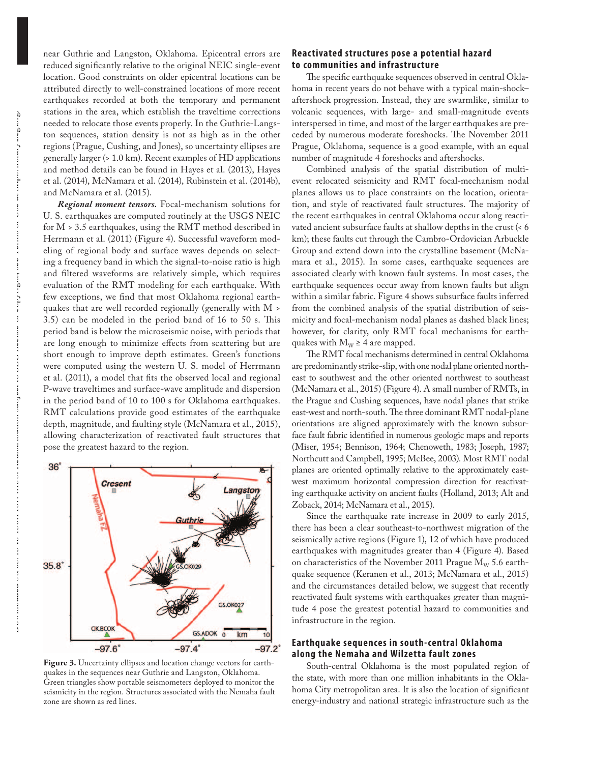near Guthrie and Langston, Oklahoma. Epicentral errors are reduced significantly relative to the original NEIC single-event location. Good constraints on older epicentral locations can be attributed directly to well-constrained locations of more recent earthquakes recorded at both the temporary and permanent stations in the area, which establish the traveltime corrections needed to relocate those events properly. In the Guthrie-Langston sequences, station density is not as high as in the other regions (Prague, Cushing, and Jones), so uncertainty ellipses are generally larger (> 1.0 km). Recent examples of HD applications and method details can be found in Hayes et al. (2013), Hayes et al. (2014), McNamara et al. (2014), Rubinstein et al. (2014b), and McNamara et al. (2015).

*Regional moment tensors.* Focal-mechanism solutions for U. S. earthquakes are computed routinely at the USGS NEIC for M > 3.5 earthquakes, using the RMT method described in Herrmann et al. (2011) (Figure 4). Successful waveform modeling of regional body and surface waves depends on selecting a frequency band in which the signal-to-noise ratio is high and filtered waveforms are relatively simple, which requires evaluation of the RMT modeling for each earthquake. With few exceptions, we find that most Oklahoma regional earthquakes that are well recorded regionally (generally with M > 3.5) can be modeled in the period band of 16 to 50 s. Tis period band is below the microseismic noise, with periods that are long enough to minimize effects from scattering but are short enough to improve depth estimates. Green's functions were computed using the western U. S. model of Herrmann et al. (2011), a model that fits the observed local and regional P-wave traveltimes and surface-wave amplitude and dispersion in the period band of 10 to 100 s for Oklahoma earthquakes. RMT calculations provide good estimates of the earthquake depth, magnitude, and faulting style (McNamara et al., 2015), allowing characterization of reactivated fault structures that pose the greatest hazard to the region.



**Figure 3.** Uncertainty ellipses and location change vectors for earthquakes in the sequences near Guthrie and Langston, Oklahoma. Green triangles show portable seismometers deployed to monitor the seismicity in the region. Structures associated with the Nemaha fault zone are shown as red lines.

## **Reactivated structures pose a potential hazard to communities and infrastructure**

The specific earthquake sequences observed in central Oklahoma in recent years do not behave with a typical main-shock– aftershock progression. Instead, they are swarmlike, similar to volcanic sequences, with large- and small-magnitude events interspersed in time, and most of the larger earthquakes are preceded by numerous moderate foreshocks. The November 2011 Prague, Oklahoma, sequence is a good example, with an equal number of magnitude 4 foreshocks and aftershocks.

Combined analysis of the spatial distribution of multievent relocated seismicity and RMT focal-mechanism nodal planes allows us to place constraints on the location, orientation, and style of reactivated fault structures. The majority of the recent earthquakes in central Oklahoma occur along reactivated ancient subsurface faults at shallow depths in the crust (< 6 km); these faults cut through the Cambro-Ordovician Arbuckle Group and extend down into the crystalline basement (McNamara et al., 2015). In some cases, earthquake sequences are associated clearly with known fault systems. In most cases, the earthquake sequences occur away from known faults but align within a similar fabric. Figure 4 shows subsurface faults inferred from the combined analysis of the spatial distribution of seismicity and focal-mechanism nodal planes as dashed black lines; however, for clarity, only RMT focal mechanisms for earthquakes with  $M_W \geq 4$  are mapped.

The RMT focal mechanisms determined in central Oklahoma are predominantly strike-slip, with one nodal plane oriented northeast to southwest and the other oriented northwest to southeast (McNamara et al., 2015) (Figure 4). A small number of RMTs, in the Prague and Cushing sequences, have nodal planes that strike east-west and north-south. The three dominant RMT nodal-plane orientations are aligned approximately with the known subsurface fault fabric identified in numerous geologic maps and reports (Miser, 1954; Bennison, 1964; Chenoweth, 1983; Joseph, 1987; Northcutt and Campbell, 1995; McBee, 2003). Most RMT nodal planes are oriented optimally relative to the approximately eastwest maximum horizontal compression direction for reactivating earthquake activity on ancient faults (Holland, 2013; Alt and Zoback, 2014; McNamara et al., 2015).

Since the earthquake rate increase in 2009 to early 2015, there has been a clear southeast-to-northwest migration of the seismically active regions (Figure 1), 12 of which have produced earthquakes with magnitudes greater than 4 (Figure 4). Based on characteristics of the November 2011 Prague  $M_{\rm W}$  5.6 earthquake sequence (Keranen et al., 2013; McNamara et al., 2015) and the circumstances detailed below, we suggest that recently reactivated fault systems with earthquakes greater than magnitude 4 pose the greatest potential hazard to communities and infrastructure in the region.

## **Earthquake sequences in south-central Oklahoma along the Nemaha and Wilzetta fault zones**

South-central Oklahoma is the most populated region of the state, with more than one million inhabitants in the Oklahoma City metropolitan area. It is also the location of significant energy-industry and national strategic infrastructure such as the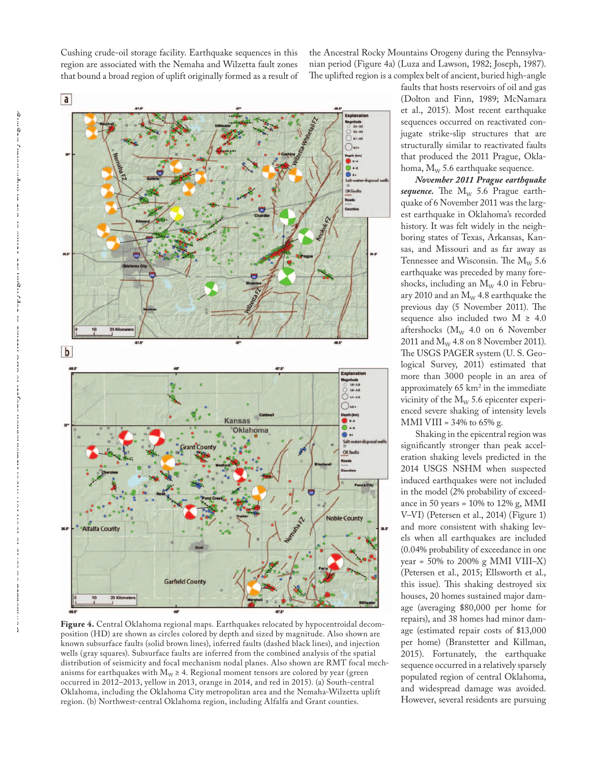Cushing crude-oil storage facility. Earthquake sequences in this region are associated with the Nemaha and Wilzetta fault zones that bound a broad region of uplift originally formed as a result of

the Ancestral Rocky Mountains Orogeny during the Pennsylvanian period (Figure 4a) (Luza and Lawson, 1982; Joseph, 1987). The uplifted region is a complex belt of ancient, buried high-angle



**Figure 4.** Central Oklahoma regional maps. Earthquakes relocated by hypocentroidal decomposition (HD) are shown as circles colored by depth and sized by magnitude. Also shown are known subsurface faults (solid brown lines), inferred faults (dashed black lines), and injection wells (gray squares). Subsurface faults are inferred from the combined analysis of the spatial distribution of seismicity and focal mechanism nodal planes. Also shown are RMT focal mechanisms for earthquakes with  $M_W \geq 4$ . Regional moment tensors are colored by year (green occurred in 2012–2013, yellow in 2013, orange in 2014, and red in 2015). (a) South-central Oklahoma, including the Oklahoma City metropolitan area and the Nemaha-Wilzetta uplift region. (b) Northwest-central Oklahoma region, including Alfalfa and Grant counties.

faults that hosts reservoirs of oil and gas (Dolton and Finn, 1989; McNamara et al., 2015). Most recent earthquake sequences occurred on reactivated conjugate strike-slip structures that are structurally similar to reactivated faults that produced the 2011 Prague, Oklahoma,  $M_W$  5.6 earthquake sequence.

*November 2011 Prague earthquake sequence*. The  $M_w$  5.6 Prague earthquake of 6 November 2011 was the largest earthquake in Oklahoma's recorded history. It was felt widely in the neighboring states of Texas, Arkansas, Kansas, and Missouri and as far away as Tennessee and Wisconsin. The  $M_{\rm w}$  5.6 earthquake was preceded by many foreshocks, including an  $M_W$  4.0 in February 2010 and an  $M_W$  4.8 earthquake the previous day (5 November 2011). The sequence also included two  $M \geq 4.0$ aftershocks ( $M_W$  4.0 on 6 November 2011 and  $M_{\rm W}$  4.8 on 8 November 2011). The USGS PAGER system (U.S. Geological Survey, 2011) estimated that more than 3000 people in an area of approximately 65 km2 in the immediate vicinity of the  $M_W$  5.6 epicenter experienced severe shaking of intensity levels MMI VIII =  $34\%$  to  $65\%$  g.

Shaking in the epicentral region was significantly stronger than peak acceleration shaking levels predicted in the 2014 USGS NSHM when suspected induced earthquakes were not included in the model (2% probability of exceedance in 50 years =  $10\%$  to  $12\%$  g, MMI V–VI) (Petersen et al., 2014) (Figure 1) and more consistent with shaking levels when all earthquakes are included (0.04% probability of exceedance in one year =  $50\%$  to  $200\%$  g MMI VIII–X) (Petersen et al., 2015; Ellsworth et al., this issue). This shaking destroyed six houses, 20 homes sustained major damage (averaging \$80,000 per home for repairs), and 38 homes had minor damage (estimated repair costs of \$13,000 per home) (Branstetter and Killman, 2015). Fortunately, the earthquake sequence occurred in a relatively sparsely populated region of central Oklahoma, and widespread damage was avoided. However, several residents are pursuing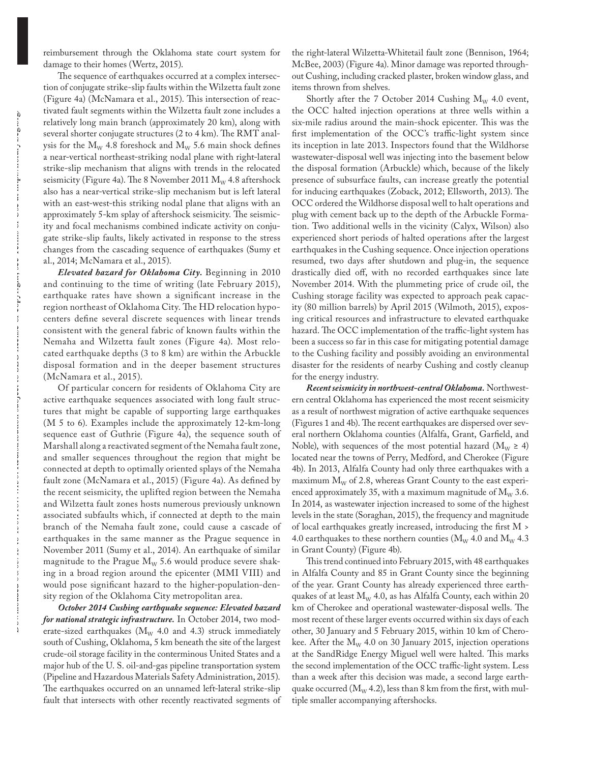reimbursement through the Oklahoma state court system for damage to their homes (Wertz, 2015).

The sequence of earthquakes occurred at a complex intersection of conjugate strike-slip faults within the Wilzetta fault zone (Figure 4a) (McNamara et al., 2015). This intersection of reactivated fault segments within the Wilzetta fault zone includes a relatively long main branch (approximately 20 km), along with several shorter conjugate structures  $(2 \text{ to } 4 \text{ km})$ . The RMT analysis for the  $M_W$  4.8 foreshock and  $M_W$  5.6 main shock defines a near-vertical northeast-striking nodal plane with right-lateral strike-slip mechanism that aligns with trends in the relocated seismicity (Figure 4a). The 8 November 2011  $M_w$  4.8 aftershock also has a near-vertical strike-slip mechanism but is left lateral with an east-west-this striking nodal plane that aligns with an approximately 5-km splay of aftershock seismicity. The seismicity and focal mechanisms combined indicate activity on conjugate strike-slip faults, likely activated in response to the stress changes from the cascading sequence of earthquakes (Sumy et al., 2014; McNamara et al., 2015).

*Elevated hazard for Oklahoma City.* Beginning in 2010 and continuing to the time of writing (late February 2015), earthquake rates have shown a significant increase in the region northeast of Oklahoma City. The HD relocation hypocenters define several discrete sequences with linear trends consistent with the general fabric of known faults within the Nemaha and Wilzetta fault zones (Figure 4a). Most relocated earthquake depths (3 to 8 km) are within the Arbuckle disposal formation and in the deeper basement structures (McNamara et al., 2015).

Of particular concern for residents of Oklahoma City are active earthquake sequences associated with long fault structures that might be capable of supporting large earthquakes (M 5 to 6). Examples include the approximately 12-km-long sequence east of Guthrie (Figure 4a), the sequence south of Marshall along a reactivated segment of the Nemaha fault zone, and smaller sequences throughout the region that might be connected at depth to optimally oriented splays of the Nemaha fault zone (McNamara et al., 2015) (Figure 4a). As defined by the recent seismicity, the uplifted region between the Nemaha and Wilzetta fault zones hosts numerous previously unknown associated subfaults which, if connected at depth to the main branch of the Nemaha fault zone, could cause a cascade of earthquakes in the same manner as the Prague sequence in November 2011 (Sumy et al., 2014). An earthquake of similar magnitude to the Prague  $M_W$  5.6 would produce severe shaking in a broad region around the epicenter (MMI VIII) and would pose significant hazard to the higher-population-density region of the Oklahoma City metropolitan area.

*October 2014 Cushing earthquake sequence: Elevated hazard for national strategic infrastructure.* In October 2014, two moderate-sized earthquakes ( $M_W$  4.0 and 4.3) struck immediately south of Cushing, Oklahoma, 5 km beneath the site of the largest crude-oil storage facility in the conterminous United States and a major hub of the U. S. oil-and-gas pipeline transportation system (Pipeline and Hazardous Materials Safety Administration, 2015). The earthquakes occurred on an unnamed left-lateral strike-slip fault that intersects with other recently reactivated segments of

the right-lateral Wilzetta-Whitetail fault zone (Bennison, 1964; McBee, 2003) (Figure 4a). Minor damage was reported throughout Cushing, including cracked plaster, broken window glass, and items thrown from shelves.

Shortly after the 7 October 2014 Cushing  $M_W$  4.0 event, the OCC halted injection operations at three wells within a six-mile radius around the main-shock epicenter. This was the first implementation of the OCC's traffic-light system since its inception in late 2013. Inspectors found that the Wildhorse wastewater-disposal well was injecting into the basement below the disposal formation (Arbuckle) which, because of the likely presence of subsurface faults, can increase greatly the potential for inducing earthquakes (Zoback, 2012; Ellsworth, 2013). The OCC ordered the Wildhorse disposal well to halt operations and plug with cement back up to the depth of the Arbuckle Formation. Two additional wells in the vicinity (Calyx, Wilson) also experienced short periods of halted operations after the largest earthquakes in the Cushing sequence. Once injection operations resumed, two days after shutdown and plug-in, the sequence drastically died off, with no recorded earthquakes since late November 2014. With the plummeting price of crude oil, the Cushing storage facility was expected to approach peak capacity (80 million barrels) by April 2015 (Wilmoth, 2015), exposing critical resources and infrastructure to elevated earthquake hazard. The OCC implementation of the traffic-light system has been a success so far in this case for mitigating potential damage to the Cushing facility and possibly avoiding an environmental disaster for the residents of nearby Cushing and costly cleanup for the energy industry.

*Recent seismicity in northwest-central Oklahoma.* Northwestern central Oklahoma has experienced the most recent seismicity as a result of northwest migration of active earthquake sequences (Figures 1 and 4b). The recent earthquakes are dispersed over several northern Oklahoma counties (Alfalfa, Grant, Garfield, and Noble), with sequences of the most potential hazard ( $M_W \ge 4$ ) located near the towns of Perry, Medford, and Cherokee (Figure 4b). In 2013, Alfalfa County had only three earthquakes with a maximum  $M_W$  of 2.8, whereas Grant County to the east experienced approximately 35, with a maximum magnitude of  $M_W$  3.6. In 2014, as wastewater injection increased to some of the highest levels in the state (Soraghan, 2015), the frequency and magnitude of local earthquakes greatly increased, introducing the first M > 4.0 earthquakes to these northern counties ( $\rm M_{\rm W}$  4.0 and  $\rm M_{\rm W}$  4.3 in Grant County) (Figure 4b).

This trend continued into February 2015, with 48 earthquakes in Alfalfa County and 85 in Grant County since the beginning of the year. Grant County has already experienced three earthquakes of at least  $M_W$  4.0, as has Alfalfa County, each within 20 km of Cherokee and operational wastewater-disposal wells. The most recent of these larger events occurred within six days of each other, 30 January and 5 February 2015, within 10 km of Cherokee. After the  $M_W$  4.0 on 30 January 2015, injection operations at the SandRidge Energy Miguel well were halted. This marks the second implementation of the OCC traffic-light system. Less than a week after this decision was made, a second large earthquake occurred ( $M_W$  4.2), less than 8 km from the first, with multiple smaller accompanying aftershocks.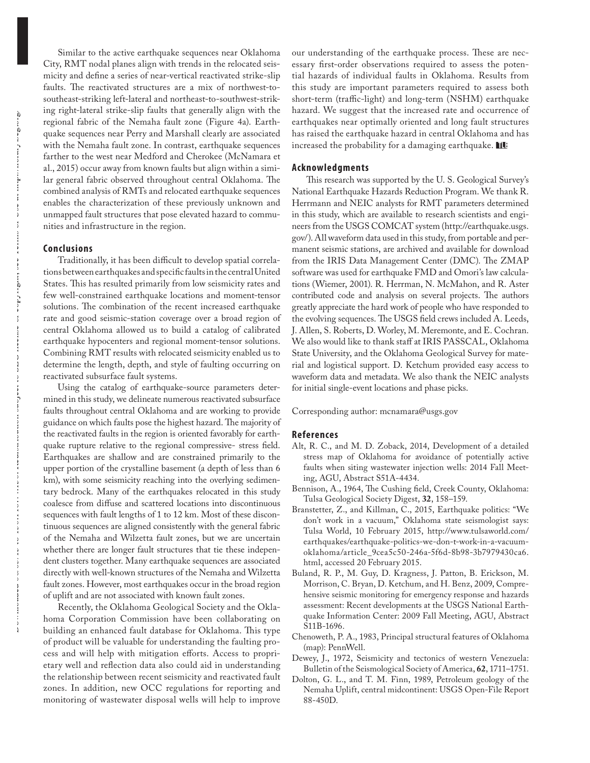Similar to the active earthquake sequences near Oklahoma City, RMT nodal planes align with trends in the relocated seismicity and define a series of near-vertical reactivated strike-slip faults. The reactivated structures are a mix of northwest-tosoutheast-striking left-lateral and northeast-to-southwest-striking right-lateral strike-slip faults that generally align with the regional fabric of the Nemaha fault zone (Figure 4a). Earthquake sequences near Perry and Marshall clearly are associated with the Nemaha fault zone. In contrast, earthquake sequences farther to the west near Medford and Cherokee (McNamara et al., 2015) occur away from known faults but align within a similar general fabric observed throughout central Oklahoma. The combined analysis of RMTs and relocated earthquake sequences enables the characterization of these previously unknown and unmapped fault structures that pose elevated hazard to communities and infrastructure in the region.

#### **Conclusions**

Traditionally, it has been difficult to develop spatial correlations between earthquakes and specific faults in the central United States. This has resulted primarily from low seismicity rates and few well-constrained earthquake locations and moment-tensor solutions. The combination of the recent increased earthquake rate and good seismic-station coverage over a broad region of central Oklahoma allowed us to build a catalog of calibrated earthquake hypocenters and regional moment-tensor solutions. Combining RMT results with relocated seismicity enabled us to determine the length, depth, and style of faulting occurring on reactivated subsurface fault systems.

Using the catalog of earthquake-source parameters determined in this study, we delineate numerous reactivated subsurface faults throughout central Oklahoma and are working to provide guidance on which faults pose the highest hazard. The majority of the reactivated faults in the region is oriented favorably for earthquake rupture relative to the regional compressive- stress field. Earthquakes are shallow and are constrained primarily to the upper portion of the crystalline basement (a depth of less than 6 km), with some seismicity reaching into the overlying sedimentary bedrock. Many of the earthquakes relocated in this study coalesce from diffuse and scattered locations into discontinuous sequences with fault lengths of 1 to 12 km. Most of these discontinuous sequences are aligned consistently with the general fabric of the Nemaha and Wilzetta fault zones, but we are uncertain whether there are longer fault structures that tie these independent clusters together. Many earthquake sequences are associated directly with well-known structures of the Nemaha and Wilzetta fault zones. However, most earthquakes occur in the broad region of uplift and are not associated with known fault zones.

Recently, the Oklahoma Geological Society and the Oklahoma Corporation Commission have been collaborating on building an enhanced fault database for Oklahoma. This type of product will be valuable for understanding the faulting process and will help with mitigation efforts. Access to proprietary well and reflection data also could aid in understanding the relationship between recent seismicity and reactivated fault zones. In addition, new OCC regulations for reporting and monitoring of wastewater disposal wells will help to improve

our understanding of the earthquake process. These are necessary first-order observations required to assess the potential hazards of individual faults in Oklahoma. Results from this study are important parameters required to assess both short-term (traffic-light) and long-term (NSHM) earthquake hazard. We suggest that the increased rate and occurrence of earthquakes near optimally oriented and long fault structures has raised the earthquake hazard in central Oklahoma and has increased the probability for a damaging earthquake.  $\blacksquare$ 

#### **Acknowledgments**

This research was supported by the U.S. Geological Survey's National Earthquake Hazards Reduction Program. We thank R. Herrmann and NEIC analysts for RMT parameters determined in this study, which are available to research scientists and engineers from the USGS COMCAT system (http://earthquake.usgs. gov/). All waveform data used in this study, from portable and permanent seismic stations, are archived and available for download from the IRIS Data Management Center (DMC). The ZMAP software was used for earthquake FMD and Omori's law calculations (Wiemer, 2001). R. Herrman, N. McMahon, and R. Aster contributed code and analysis on several projects. The authors greatly appreciate the hard work of people who have responded to the evolving sequences. The USGS field crews included A. Leeds, J. Allen, S. Roberts, D. Worley, M. Meremonte, and E. Cochran. We also would like to thank staff at IRIS PASSCAL, Oklahoma State University, and the Oklahoma Geological Survey for material and logistical support. D. Ketchum provided easy access to waveform data and metadata. We also thank the NEIC analysts for initial single-event locations and phase picks.

Corresponding author: mcnamara@usgs.gov

#### **References**

- Alt, R. C., and M. D. Zoback, 2014, Development of a detailed stress map of Oklahoma for avoidance of potentially active faults when siting wastewater injection wells: 2014 Fall Meeting, AGU, Abstract S51A-4434.
- Bennison, A., 1964, The Cushing field, Creek County, Oklahoma: Tulsa Geological Society Digest, **32**, 158–159.
- Branstetter, Z., and Killman, C., 2015, Earthquake politics: "We don't work in a vacuum," Oklahoma state seismologist says: Tulsa World, 10 February 2015, http://www.tulsaworld.com/ earthquakes/earthquake-politics-we-don-t-work-in-a-vacuumoklahoma/article\_9cea5c50-246a-5f6d-8b98-3b7979430ca6. html, accessed 20 February 2015.
- Buland, R. P., M. Guy, D. Kragness, J. Patton, B. Erickson, M. Morrison, C. Bryan, D. Ketchum, and H. Benz, 2009, Comprehensive seismic monitoring for emergency response and hazards assessment: Recent developments at the USGS National Earthquake Information Center: 2009 Fall Meeting, AGU, Abstract S11B-1696.
- Chenoweth, P. A., 1983, Principal structural features of Oklahoma (map): PennWell.
- Dewey, J., 1972, Seismicity and tectonics of western Venezuela: Bulletin of the Seismological Society of America, **62**, 1711–1751.
- Dolton, G. L., and T. M. Finn, 1989, Petroleum geology of the Nemaha Uplift, central midcontinent: USGS Open-File Report 88-450D.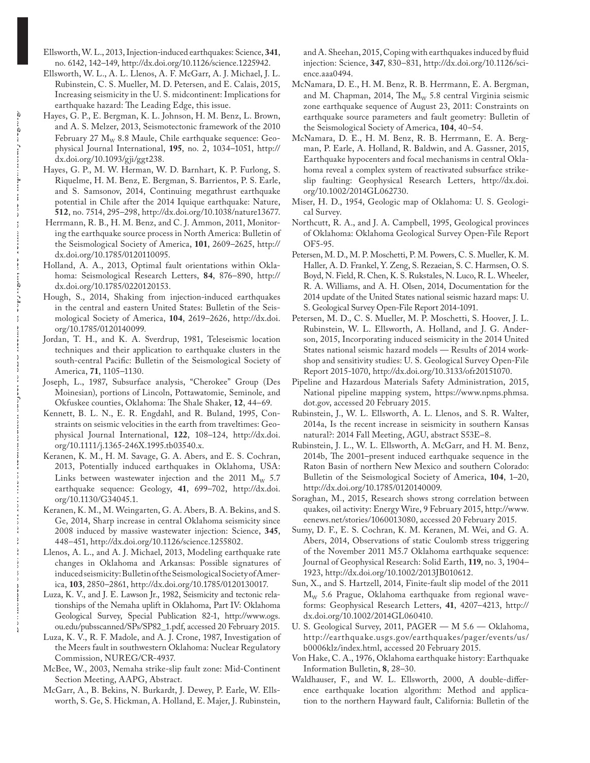- Ellsworth, W. L., 2013, Injection-induced earthquakes: Science, **341**, no. 6142, 142–149, http://dx.doi.org/10.1126/science.1225942.
- Ellsworth, W. L., A. L. Llenos, A. F. McGarr, A. J. Michael, J. L. Rubinstein, C. S. Mueller, M. D. Petersen, and E. Calais, 2015, Increasing seismicity in the U. S. midcontinent: Implications for earthquake hazard: The Leading Edge, this issue.
- Hayes, G. P., E. Bergman, K. L. Johnson, H. M. Benz, L. Brown, and A. S. Melzer, 2013, Seismotectonic framework of the 2010 February 27  $M_W$  8.8 Maule, Chile earthquake sequence: Geophysical Journal International, **195**, no. 2, 1034–1051, http:// dx.doi.org/10.1093/gji/ggt238.
- Hayes, G. P., M. W. Herman, W. D. Barnhart, K. P. Furlong, S. Riquelme, H. M. Benz, E. Bergman, S. Barrientos, P. S. Earle, and S. Samsonov, 2014, Continuing megathrust earthquake potential in Chile after the 2014 Iquique earthquake: Nature, **512**, no. 7514, 295–298, http://dx.doi.org/10.1038/nature13677.
- Herrmann, R. B., H. M. Benz, and C. J. Ammon, 2011, Monitoring the earthquake source process in North America: Bulletin of the Seismological Society of America, **101**, 2609–2625, http:// dx.doi.org/10.1785/0120110095.
- Holland, A. A., 2013, Optimal fault orientations within Oklahoma: Seismological Research Letters, **84**, 876–890, http:// dx.doi.org/10.1785/0220120153.
- Hough, S., 2014, Shaking from injection-induced earthquakes in the central and eastern United States: Bulletin of the Seismological Society of America, **104**, 2619–2626, http://dx.doi. org/10.1785/0120140099.
- Jordan, T. H., and K. A. Sverdrup, 1981, Teleseismic location techniques and their application to earthquake clusters in the south-central Pacific: Bulletin of the Seismological Society of America, **71**, 1105–1130.
- Joseph, L., 1987, Subsurface analysis, "Cherokee" Group (Des Moinesian), portions of Lincoln, Pottawatomie, Seminole, and Okfuskee counties, Oklahoma: The Shale Shaker, 12, 44-69.
- Kennett, B. L. N., E. R. Engdahl, and R. Buland, 1995, Constraints on seismic velocities in the earth from traveltimes: Geophysical Journal International, **122**, 108–124, http://dx.doi. org/10.1111/j.1365-246X.1995.tb03540.x.
- Keranen, K. M., H. M. Savage, G. A. Abers, and E. S. Cochran, 2013, Potentially induced earthquakes in Oklahoma, USA: Links between wastewater injection and the 2011  $M_{\rm w}$  5.7 earthquake sequence: Geology, **41**, 699–702, http://dx.doi. org/10.1130/G34045.1.
- Keranen, K. M., M. Weingarten, G. A. Abers, B. A. Bekins, and S. Ge, 2014, Sharp increase in central Oklahoma seismicity since 2008 induced by massive wastewater injection: Science, **345**, 448–451, http://dx.doi.org/10.1126/science.1255802.
- Llenos, A. L., and A. J. Michael, 2013, Modeling earthquake rate changes in Oklahoma and Arkansas: Possible signatures of induced seismicity: Bulletin of the Seismological Society of America, **103**, 2850–2861, http://dx.doi.org/10.1785/0120130017.
- Luza, K. V., and J. E. Lawson Jr., 1982, Seismicity and tectonic relationships of the Nemaha uplift in Oklahoma, Part IV: Oklahoma Geological Survey, Special Publication 82-1, http://www.ogs. ou.edu/pubsscanned/SPs/SP82\_1.pdf, accessed 20 February 2015.
- Luza, K. V., R. F. Madole, and A. J. Crone, 1987, Investigation of the Meers fault in southwestern Oklahoma: Nuclear Regulatory Commission, NUREG/CR-4937.
- McBee, W., 2003, Nemaha strike-slip fault zone: Mid-Continent Section Meeting, AAPG, Abstract.
- McGarr, A., B. Bekins, N. Burkardt, J. Dewey, P. Earle, W. Ellsworth, S. Ge, S. Hickman, A. Holland, E. Majer, J. Rubinstein,

and A. Sheehan, 2015, Coping with earthquakes induced by fluid injection: Science, **347**, 830–831, http://dx.doi.org/10.1126/science.aaa0494.

- McNamara, D. E., H. M. Benz, R. B. Herrmann, E. A. Bergman, and M. Chapman, 2014, The  $M_W$  5.8 central Virginia seismic zone earthquake sequence of August 23, 2011: Constraints on earthquake source parameters and fault geometry: Bulletin of the Seismological Society of America, **104**, 40–54.
- McNamara, D. E., H. M. Benz, R. B. Herrmann, E. A. Bergman, P. Earle, A. Holland, R. Baldwin, and A. Gassner, 2015, Earthquake hypocenters and focal mechanisms in central Oklahoma reveal a complex system of reactivated subsurface strikeslip faulting: Geophysical Research Letters, http://dx.doi. org/10.1002/2014GL062730.
- Miser, H. D., 1954, Geologic map of Oklahoma: U. S. Geological Survey.
- Northcutt, R. A., and J. A. Campbell, 1995, Geological provinces of Oklahoma: Oklahoma Geological Survey Open-File Report OF5-95.
- Petersen, M. D., M. P. Moschetti, P. M. Powers, C. S. Mueller, K. M. Haller, A. D. Frankel, Y. Zeng, S. Rezaeian, S. C. Harmsen, O. S. Boyd, N. Field, R. Chen, K. S. Rukstales, N. Luco, R. L. Wheeler, R. A. Williams, and A. H. Olsen, 2014, Documentation for the 2014 update of the United States national seismic hazard maps: U. S. Geological Survey Open-File Report 2014-1091.
- Petersen, M. D., C. S. Mueller, M. P. Moschetti, S. Hoover, J. L. Rubinstein, W. L. Ellsworth, A. Holland, and J. G. Anderson, 2015, Incorporating induced seismicity in the 2014 United States national seismic hazard models — Results of 2014 workshop and sensitivity studies: U. S. Geological Survey Open-File Report 2015-1070, http://dx.doi.org/10.3133/ofr20151070.
- Pipeline and Hazardous Materials Safety Administration, 2015, National pipeline mapping system, https://www.npms.phmsa. dot.gov, accessed 20 February 2015.
- Rubinstein, J., W. L. Ellsworth, A. L. Llenos, and S. R. Walter, 2014a, Is the recent increase in seismicity in southern Kansas natural?: 2014 Fall Meeting, AGU, abstract S53E–8.
- Rubinstein, J. L., W. L. Ellsworth, A. McGarr, and H. M. Benz, 2014b, The 2001-present induced earthquake sequence in the Raton Basin of northern New Mexico and southern Colorado: Bulletin of the Seismological Society of America, **104**, 1–20, http://dx.doi.org/10.1785/0120140009.
- Soraghan, M., 2015, Research shows strong correlation between quakes, oil activity: Energy Wire, 9 February 2015, http://www. eenews.net/stories/1060013080, accessed 20 February 2015.
- Sumy, D. F., E. S. Cochran, K. M. Keranen, M. Wei, and G. A. Abers, 2014, Observations of static Coulomb stress triggering of the November 2011 M5.7 Oklahoma earthquake sequence: Journal of Geophysical Research: Solid Earth, **119**, no. 3, 1904– 1923, http://dx.doi.org/10.1002/2013JB010612.
- Sun, X., and S. Hartzell, 2014, Finite-fault slip model of the 2011  $M_w$  5.6 Prague, Oklahoma earthquake from regional waveforms: Geophysical Research Letters, **41**, 4207–4213, http:// dx.doi.org/10.1002/2014GL060410.
- U. S. Geological Survey, 2011, PAGER M 5.6 Oklahoma, http://earthquake.usgs.gov/earthquakes/pager/events/us/ b0006klz/index.html, accessed 20 February 2015.
- Von Hake, C. A., 1976, Oklahoma earthquake history: Earthquake Information Bulletin, **8**, 28–30.
- Waldhauser, F., and W. L. Ellsworth, 2000, A double-difference earthquake location algorithm: Method and application to the northern Hayward fault, California: Bulletin of the